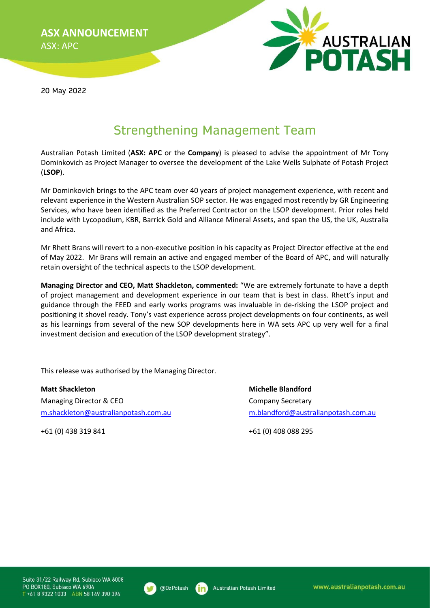ASX ANNOUNCEMENT ASX: APC

**POTASH** 

20 May 2022

## Strengthening Management Team

Australian Potash Limited (ASX: APC or the Company) is pleased to advise the appointment of Mr Tony Dominkovich as Project Manager to oversee the development of the Lake Wells Sulphate of Potash Project (LSOP).

Mr Dominkovich brings to the APC team over 40 years of project management experience, with recent and relevant experience in the Western Australian SOP sector. He was engaged most recently by GR Engineering Services, who have been identified as the Preferred Contractor on the LSOP development. Prior roles held include with Lycopodium, KBR, Barrick Gold and Alliance Mineral Assets, and span the US, the UK, Australia and Africa.

Mr Rhett Brans will revert to a non-executive position in his capacity as Project Director effective at the end of May 2022. Mr Brans will remain an active and engaged member of the Board of APC, and will naturally retain oversight of the technical aspects to the LSOP development.

Managing Director and CEO, Matt Shackleton, commented: "We are extremely fortunate to have a depth of project management and development experience in our team that is best in class. Rhett's input and guidance through the FEED and early works programs was invaluable in de-risking the LSOP project and positioning it shovel ready. Tony's vast experience across project developments on four continents, as well as his learnings from several of the new SOP developments here in WA sets APC up very well for a final investment decision and execution of the LSOP development strategy".

This release was authorised by the Managing Director.

Matt Shackleton Michelle Blandford Managing Director & CEO Company Secretary m.shackleton@australianpotash.com.au m.blandford@australianpotash.com.au

+61 (0) 438 319 841 +61 (0) 408 088 295